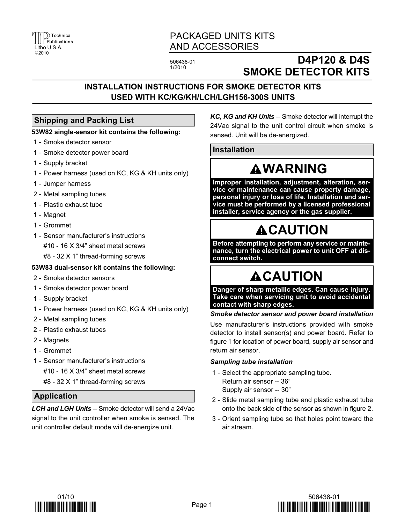

# PACKAGED UNITS KITS AND ACCESSORIES

506438−01 1/2010

# D4P120 & D4S SMOKE DETECTOR KITS

# INSTALLATION INSTRUCTIONS FOR SMOKE DETECTOR KITS USED WITH KC/KG/KH/LCH/LGH156−300S UNITS

### Shipping and Packing List

### 53W82 single−sensor kit contains the following:

- 1 − Smoke detector sensor
- 1 − Smoke detector power board
- 1 − Supply bracket
- 1 − Power harness (used on KC, KG & KH units only)
- 1 − Jumper harness
- 2 − Metal sampling tubes
- 1 − Plastic exhaust tube
- 1 − Magnet
- 1 − Grommet
- 1 − Sensor manufacturer's instructions
	- #10 − 16 X 3/4" sheet metal screws
	- #8 − 32 X 1" thread−forming screws

### 53W83 dual−sensor kit contains the following:

- 2 − Smoke detector sensors
- 1 − Smoke detector power board
- 1 − Supply bracket
- 1 − Power harness (used on KC, KG & KH units only)
- 2 − Metal sampling tubes
- 2 − Plastic exhaust tubes
- 2 − Magnets
- 1 − Grommet
- 1 − Sensor manufacturer's instructions
	- #10 − 16 X 3/4" sheet metal screws
	- #8 − 32 X 1" thread−forming screws

## Application

LCH and LGH Units -- Smoke detector will send a 24Vac signal to the unit controller when smoke is sensed. The unit controller default mode will de−energize unit.

KC, KG and KH Units -- Smoke detector will interrupt the 24Vac signal to the unit control circuit when smoke is sensed. Unit will be de−energized.

### Installation

# **AWARNING**

Improper installation, adjustment, alteration, service or maintenance can cause property damage, personal injury or loss of life. Installation and service must be performed by a licensed professional installer, service agency or the gas supplier.

# **ACAUTION**

Before attempting to perform any service or maintenance, turn the electrical power to unit OFF at disconnect switch.

# **ACAUTION**

Danger of sharp metallic edges. Can cause injury. Take care when servicing unit to avoid accidental contact with sharp edges.

Smoke detector sensor and power board installation

Use manufacturer's instructions provided with smoke detector to install sensor(s) and power board. Refer to figure [1](#page-1-0) for location of power board, supply air sensor and return air sensor.

#### Sampling tube installation

- 1 Select the appropriate sampling tube. Return air sensor −− 36" Supply air sensor −− 30"
- 2 − Slide metal sampling tube and plastic exhaust tube onto the back side of the sensor as shown in figure [2.](#page-1-0)
- 3 − Orient sampling tube so that holes point toward the air stream.



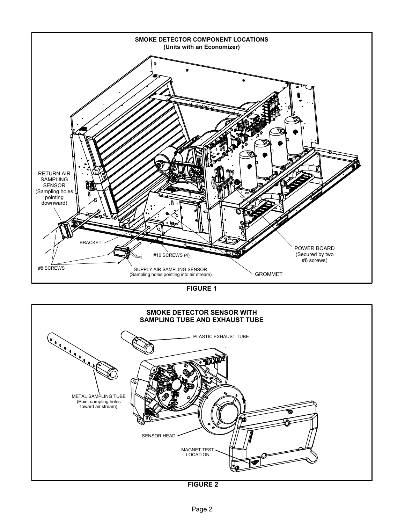<span id="page-1-0"></span>

FIGURE 1



FIGURE 2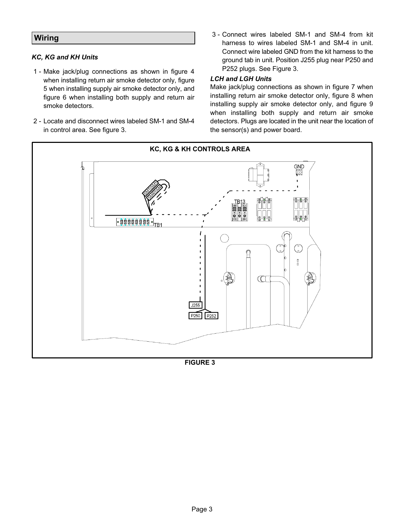### **Wiring**

#### KC, KG and KH Units

- 1 − Make jack/plug connections as shown in figure [4](#page-3-0) when installing return air smoke detector only, figure [5](#page-3-0) when installing supply air smoke detector only, and figure [6](#page-3-0) when installing both supply and return air smoke detectors.
- 2 − Locate and disconnect wires labeled SM−1 and SM−4 in control area. See figure 3.
- 3 − Connect wires labeled SM−1 and SM−4 from kit harness to wires labeled SM−1 and SM−4 in unit. Connect wire labeled GND from the kit harness to the ground tab in unit. Position J255 plug near P250 and P252 plugs. See Figure 3.

#### LCH and LGH Units

Make jack/plug connections as shown in figure [7](#page-4-0) when installing return air smoke detector only, figure [8](#page-4-0) when installing supply air smoke detector only, and figure [9](#page-4-0) when installing both supply and return air smoke detectors. Plugs are located in the unit near the location of the sensor(s) and power board.



FIGURE 3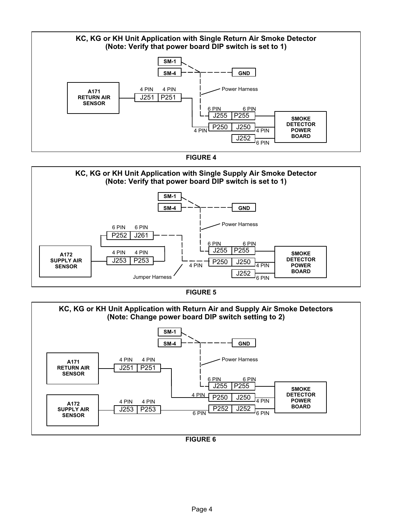<span id="page-3-0"></span>





FIGURE 5



### FIGURE 6